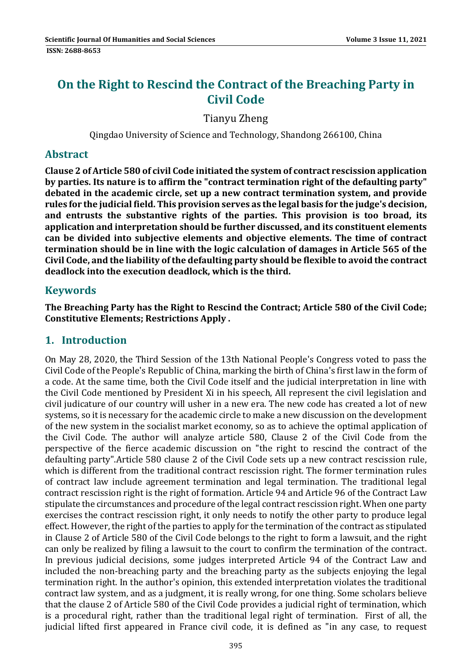# **On the Right to Rescind the Contract of the Breaching Party in Civil Code**

Tianyu Zheng 

Qingdao University of Science and Technology, Shandong 266100, China

### **Abstract**

**Clause 2 of Article 580 of civil Code initiated the system of contract rescission application by parties. Its nature is to affirm the "contract termination right of the defaulting party" debated in the academic circle, set up a new contract termination system, and provide rules for the judicial field. This provision serves as the legal basis for the judge's decision, and entrusts the substantive rights of the parties. This provision is too broad, its application and interpretation should be further discussed, and its constituent elements can be divided into subjective elements and objective elements. The time of contract termination should be in line with the logic calculation of damages in Article 565 of the Civil Code, and the liability ofthe defaulting party should be flexible to avoid the contract deadlock into the execution deadlock, which is the third.**

### **Keywords**

**The Breaching Party has the Right to Rescind the Contract; Article 580 of the Civil Code; Constitutive Elements; Restrictions Apply .**

### **1. Introduction**

On May 28, 2020, the Third Session of the 13th National People's Congress voted to pass the Civil Code of the People's Republic of China, marking the birth of China's first law in the form of a code. At the same time, both the Civil Code itself and the judicial interpretation in line with the Civil Code mentioned by President Xi in his speech, All represent the civil legislation and civil judicature of our country will usher in a new era. The new code has created a lot of new systems, so it is necessary for the academic circle to make a new discussion on the development of the new system in the socialist market economy, so as to achieve the optimal application of the Civil Code. The author will analyze article 580, Clause 2 of the Civil Code from the perspective of the fierce academic discussion on "the right to rescind the contract of the defaulting party".Article 580 clause 2 of the Civil Code sets up a new contract rescission rule, which is different from the traditional contract rescission right. The former termination rules of contract law include agreement termination and legal termination. The traditional legal contract rescission right is the right of formation. Article 94 and Article 96 of the Contract Law stipulate the circumstances and procedure of the legal contract rescission right. When one party exercises the contract rescission right, it only needs to notify the other party to produce legal effect. However, the right of the parties to apply for the termination of the contract as stipulated in Clause 2 of Article 580 of the Civil Code belongs to the right to form a lawsuit, and the right can only be realized by filing a lawsuit to the court to confirm the termination of the contract. In previous judicial decisions, some judges interpreted Article 94 of the Contract Law and included the non-breaching party and the breaching party as the subjects enjoying the legal termination right. In the author's opinion, this extended interpretation violates the traditional contract law system, and as a judgment, it is really wrong, for one thing. Some scholars believe that the clause 2 of Article 580 of the Civil Code provides a judicial right of termination, which is a procedural right, rather than the traditional legal right of termination. First of all, the judicial lifted first appeared in France civil code, it is defined as "in any case, to request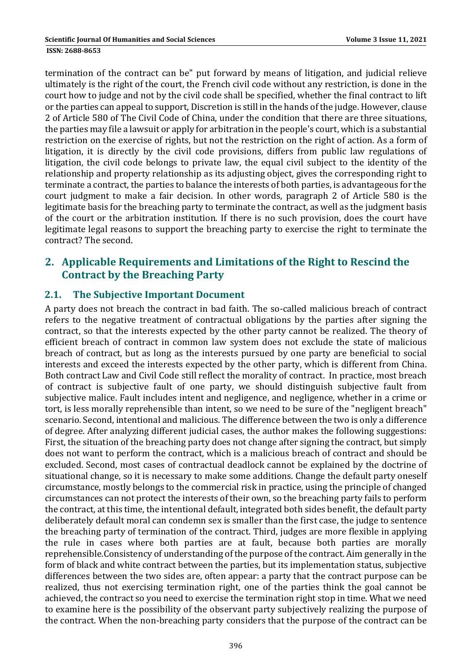termination of the contract can be" put forward by means of litigation, and judicial relieve ultimately is the right of the court, the French civil code without any restriction, is done in the court how to judge and not by the civil code shall be specified, whether the final contract to lift or the parties can appeal to support, Discretion is still in the hands of the judge. However, clause 2 of Article 580 of The Civil Code of China, under the condition that there are three situations, the parties may file a lawsuit or apply for arbitration in the people's court, which is a substantial restriction on the exercise of rights, but not the restriction on the right of action. As a form of litigation, it is directly by the civil code provisions, differs from public law regulations of litigation, the civil code belongs to private law, the equal civil subject to the identity of the relationship and property relationship as its adjusting object, gives the corresponding right to terminate a contract, the parties to balance the interests of both parties, is advantageous for the court judgment to make a fair decision. In other words, paragraph 2 of Article 580 is the legitimate basis for the breaching party to terminate the contract, as well as the judgment basis of the court or the arbitration institution. If there is no such provision, does the court have legitimate legal reasons to support the breaching party to exercise the right to terminate the contract? The second.

## **2. Applicable Requirements and Limitations of the Right to Rescind the Contract by the Breaching Party**

### **2.1. The Subjective Important Document**

A party does not breach the contract in bad faith. The so-called malicious breach of contract refers to the negative treatment of contractual obligations by the parties after signing the contract, so that the interests expected by the other party cannot be realized. The theory of efficient breach of contract in common law system does not exclude the state of malicious breach of contract, but as long as the interests pursued by one party are beneficial to social interests and exceed the interests expected by the other party, which is different from China. Both contract Law and Civil Code still reflect the morality of contract. In practice, most breach of contract is subjective fault of one party, we should distinguish subjective fault from subjective malice. Fault includes intent and negligence, and negligence, whether in a crime or tort, is less morally reprehensible than intent, so we need to be sure of the "negligent breach" scenario. Second, intentional and malicious. The difference between the two is only a difference of degree. After analyzing different judicial cases, the author makes the following suggestions: First, the situation of the breaching party does not change after signing the contract, but simply does not want to perform the contract, which is a malicious breach of contract and should be excluded. Second, most cases of contractual deadlock cannot be explained by the doctrine of situational change, so it is necessary to make some additions. Change the default party oneself circumstance, mostly belongs to the commercial risk in practice, using the principle of changed circumstances can not protect the interests of their own, so the breaching party fails to perform the contract, at this time, the intentional default, integrated both sides benefit, the default party deliberately default moral can condemn sex is smaller than the first case, the judge to sentence the breaching party of termination of the contract. Third, judges are more flexible in applying the rule in cases where both parties are at fault, because both parties are morally reprehensible.Consistency of understanding of the purpose of the contract. Aim generally in the form of black and white contract between the parties, but its implementation status, subjective differences between the two sides are, often appear: a party that the contract purpose can be realized, thus not exercising termination right, one of the parties think the goal cannot be achieved, the contract so you need to exercise the termination right stop in time. What we need to examine here is the possibility of the observant party subjectively realizing the purpose of the contract. When the non-breaching party considers that the purpose of the contract can be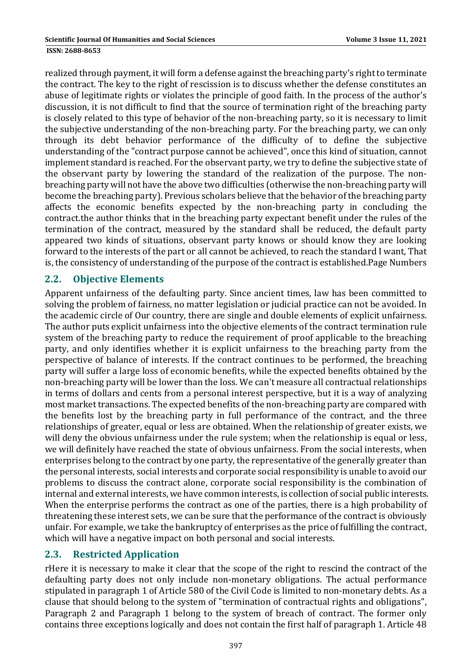#### **ISSN: 2688-8653**

realized through payment, it will form a defense against the breaching party's right to terminate the contract. The key to the right of rescission is to discuss whether the defense constitutes an abuse of legitimate rights or violates the principle of good faith. In the process of the author's discussion, it is not difficult to find that the source of termination right of the breaching party is closely related to this type of behavior of the non-breaching party, so it is necessary to limit the subjective understanding of the non-breaching party. For the breaching party, we can only through its debt behavior performance of the difficulty of to define the subjective understanding of the "contract purpose cannot be achieved", once this kind of situation, cannot implement standard is reached. For the observant party, we try to define the subjective state of the observant party by lowering the standard of the realization of the purpose. The nonbreaching party will not have the above two difficulties (otherwise the non-breaching party will become the breaching party). Previous scholars believe that the behavior of the breaching party affects the economic benefits expected by the non-breaching party in concluding the contract.the author thinks that in the breaching party expectant benefit under the rules of the termination of the contract, measured by the standard shall be reduced, the default party appeared two kinds of situations, observant party knows or should know they are looking forward to the interests of the part or all cannot be achieved, to reach the standard I want, That is, the consistency of understanding of the purpose of the contract is established.Page Numbers

### **2.2. Objective Elements**

Apparent unfairness of the defaulting party. Since ancient times, law has been committed to solving the problem of fairness, no matter legislation or judicial practice can not be avoided. In the academic circle of Our country, there are single and double elements of explicit unfairness. The author puts explicit unfairness into the objective elements of the contract termination rule system of the breaching party to reduce the requirement of proof applicable to the breaching party, and only identifies whether it is explicit unfairness to the breaching party from the perspective of balance of interests. If the contract continues to be performed, the breaching party will suffer a large loss of economic benefits, while the expected benefits obtained by the non-breaching party will be lower than the loss. We can't measure all contractual relationships in terms of dollars and cents from a personal interest perspective, but it is a way of analyzing most market transactions. The expected benefits of the non-breaching party are compared with the benefits lost by the breaching party in full performance of the contract, and the three relationships of greater, equal or less are obtained. When the relationship of greater exists, we will deny the obvious unfairness under the rule system; when the relationship is equal or less, we will definitely have reached the state of obvious unfairness. From the social interests, when enterprises belong to the contract by one party, the representative of the generally greater than the personal interests, social interests and corporate social responsibility is unable to avoid our problems to discuss the contract alone, corporate social responsibility is the combination of internal and external interests, we have common interests, is collection of social public interests. When the enterprise performs the contract as one of the parties, there is a high probability of threatening these interest sets, we can be sure that the performance of the contract is obviously unfair. For example, we take the bankruptcy of enterprises as the price of fulfilling the contract, which will have a negative impact on both personal and social interests.

### **2.3. Restricted Application**

rHere it is necessary to make it clear that the scope of the right to rescind the contract of the defaulting party does not only include non-monetary obligations. The actual performance stipulated in paragraph 1 of Article 580 of the Civil Code is limited to non-monetary debts. As a clause that should belong to the system of "termination of contractual rights and obligations", Paragraph 2 and Paragraph 1 belong to the system of breach of contract. The former only contains three exceptions logically and does not contain the first half of paragraph 1. Article 48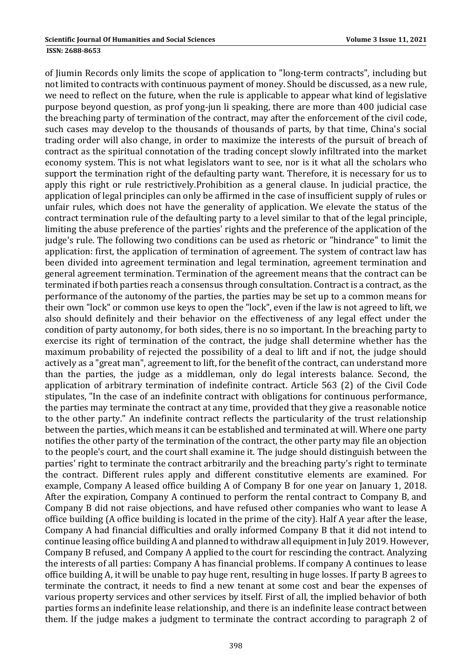of Jiumin Records only limits the scope of application to "long-term contracts", including but not limited to contracts with continuous payment of money. Should be discussed, as a new rule, we need to reflect on the future, when the rule is applicable to appear what kind of legislative purpose beyond question, as prof yong-jun li speaking, there are more than 400 judicial case the breaching party of termination of the contract, may after the enforcement of the civil code, such cases may develop to the thousands of thousands of parts, by that time, China's social trading order will also change, in order to maximize the interests of the pursuit of breach of contract as the spiritual connotation of the trading concept slowly infiltrated into the market economy system. This is not what legislators want to see, nor is it what all the scholars who support the termination right of the defaulting party want. Therefore, it is necessary for us to apply this right or rule restrictively. Prohibition as a general clause. In judicial practice, the application of legal principles can only be affirmed in the case of insufficient supply of rules or unfair rules, which does not have the generality of application. We elevate the status of the contract termination rule of the defaulting party to a level similar to that of the legal principle, limiting the abuse preference of the parties' rights and the preference of the application of the judge's rule. The following two conditions can be used as rhetoric or "hindrance" to limit the application: first, the application of termination of agreement. The system of contract law has been divided into agreement termination and legal termination, agreement termination and general agreement termination. Termination of the agreement means that the contract can be terminated if both parties reach a consensus through consultation. Contract is a contract, as the performance of the autonomy of the parties, the parties may be set up to a common means for their own "lock" or common use keys to open the "lock", even if the law is not agreed to lift, we also should definitely and their behavior on the effectiveness of any legal effect under the condition of party autonomy, for both sides, there is no so important. In the breaching party to exercise its right of termination of the contract, the judge shall determine whether has the maximum probability of rejected the possibility of a deal to lift and if not, the judge should actively as a "great man", agreement to lift, for the benefit of the contract, can understand more than the parties, the judge as a middleman, only do legal interests balance. Second, the application of arbitrary termination of indefinite contract. Article 563 (2) of the Civil Code stipulates, "In the case of an indefinite contract with obligations for continuous performance, the parties may terminate the contract at any time, provided that they give a reasonable notice to the other party." An indefinite contract reflects the particularity of the trust relationship between the parties, which means it can be established and terminated at will. Where one party notifies the other party of the termination of the contract, the other party may file an objection to the people's court, and the court shall examine it. The judge should distinguish between the parties' right to terminate the contract arbitrarily and the breaching party's right to terminate the contract. Different rules apply and different constitutive elements are examined. For example, Company A leased office building A of Company B for one year on January 1, 2018. After the expiration, Company A continued to perform the rental contract to Company B, and Company B did not raise objections, and have refused other companies who want to lease A office building (A office building is located in the prime of the city). Half A year after the lease, Company A had financial difficulties and orally informed Company B that it did not intend to continue leasing office building A and planned to withdraw all equipment in July 2019. However, Company B refused, and Company A applied to the court for rescinding the contract. Analyzing the interests of all parties: Company A has financial problems. If company A continues to lease office building A, it will be unable to pay huge rent, resulting in huge losses. If party B agrees to terminate the contract, it needs to find a new tenant at some cost and bear the expenses of various property services and other services by itself. First of all, the implied behavior of both parties forms an indefinite lease relationship, and there is an indefinite lease contract between them. If the judge makes a judgment to terminate the contract according to paragraph 2 of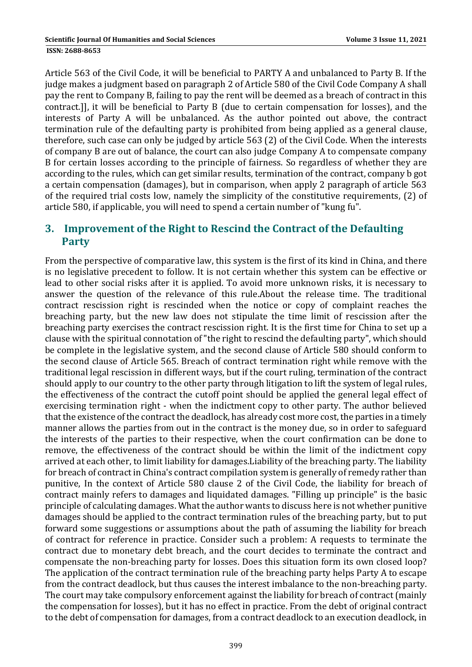Article 563 of the Civil Code, it will be beneficial to PARTY A and unbalanced to Party B. If the judge makes a judgment based on paragraph 2 of Article 580 of the Civil Code Company A shall pay the rent to Company B, failing to pay the rent will be deemed as a breach of contract in this contract.], it will be beneficial to Party B (due to certain compensation for losses), and the interests of Party A will be unbalanced. As the author pointed out above, the contract termination rule of the defaulting party is prohibited from being applied as a general clause, therefore, such case can only be judged by article 563 (2) of the Civil Code. When the interests of company B are out of balance, the court can also judge Company A to compensate company B for certain losses according to the principle of fairness. So regardless of whether they are according to the rules, which can get similar results, termination of the contract, company b got a certain compensation (damages), but in comparison, when apply 2 paragraph of article 563 of the required trial costs low, namely the simplicity of the constitutive requirements, (2) of article 580, if applicable, you will need to spend a certain number of "kung fu".

### **3. Improvement of the Right to Rescind the Contract of the Defaulting Party**

From the perspective of comparative law, this system is the first of its kind in China, and there is no legislative precedent to follow. It is not certain whether this system can be effective or lead to other social risks after it is applied. To avoid more unknown risks, it is necessary to answer the question of the relevance of this rule.About the release time. The traditional contract rescission right is rescinded when the notice or copy of complaint reaches the breaching party, but the new law does not stipulate the time limit of rescission after the breaching party exercises the contract rescission right. It is the first time for China to set up a clause with the spiritual connotation of "the right to rescind the defaulting party", which should be complete in the legislative system, and the second clause of Article 580 should conform to the second clause of Article 565. Breach of contract termination right while remove with the traditional legal rescission in different ways, but if the court ruling, termination of the contract should apply to our country to the other party through litigation to lift the system of legal rules, the effectiveness of the contract the cutoff point should be applied the general legal effect of exercising termination right - when the indictment copy to other party. The author believed that the existence of the contract the deadlock, has already cost more cost, the parties in a timely manner allows the parties from out in the contract is the money due, so in order to safeguard the interests of the parties to their respective, when the court confirmation can be done to remove, the effectiveness of the contract should be within the limit of the indictment copy arrived at each other, to limit liability for damages. Liability of the breaching party. The liability for breach of contract in China's contract compilation system is generally of remedy rather than punitive, In the context of Article 580 clause 2 of the Civil Code, the liability for breach of contract mainly refers to damages and liquidated damages. "Filling up principle" is the basic principle of calculating damages. What the author wants to discuss here is not whether punitive damages should be applied to the contract termination rules of the breaching party, but to put forward some suggestions or assumptions about the path of assuming the liability for breach of contract for reference in practice. Consider such a problem: A requests to terminate the contract due to monetary debt breach, and the court decides to terminate the contract and compensate the non-breaching party for losses. Does this situation form its own closed loop? The application of the contract termination rule of the breaching party helps Party A to escape from the contract deadlock, but thus causes the interest imbalance to the non-breaching party. The court may take compulsory enforcement against the liability for breach of contract (mainly the compensation for losses), but it has no effect in practice. From the debt of original contract to the debt of compensation for damages, from a contract deadlock to an execution deadlock, in